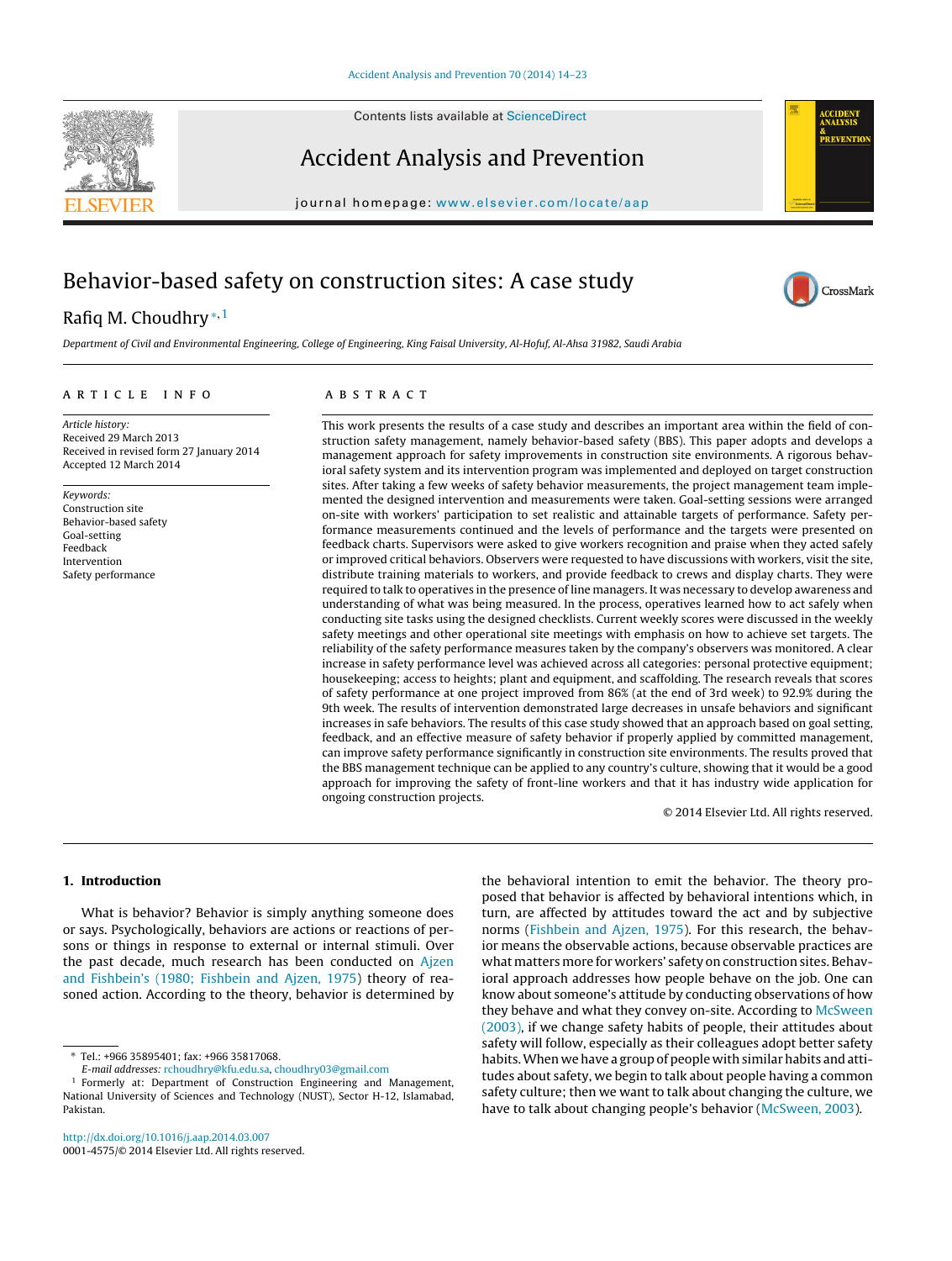Contents lists available at [ScienceDirect](http://www.sciencedirect.com/science/journal/00014575)



Accident Analysis and Prevention



# Behavior-based safety on construction sites: A case study

# Rafiq M. Choudhry<sup>∗, 1</sup>

Department of Civil and Environmental Engineering, College of Engineering, King Faisal University, Al-Hofuf, Al-Ahsa 31982, Saudi Arabia

# a r t i c l e i n f o

Article history: Received 29 March 2013 Received in revised form 27 January 2014 Accepted 12 March 2014

Keywords: Construction site Behavior-based safety Goal-setting Feedback Intervention Safety performance

# A B S T R A C T

This work presents the results of a case study and describes an important area within the field of construction safety management, namely behavior-based safety (BBS). This paper adopts and develops a management approach for safety improvements in construction site environments. A rigorous behavioral safety system and its intervention program was implemented and deployed on target construction sites. After taking a few weeks of safety behavior measurements, the project management team implemented the designed intervention and measurements were taken. Goal-setting sessions were arranged on-site with workers' participation to set realistic and attainable targets of performance. Safety performance measurements continued and the levels of performance and the targets were presented on feedback charts. Supervisors were asked to give workers recognition and praise when they acted safely or improved critical behaviors. Observers were requested to have discussions with workers, visit the site, distribute training materials to workers, and provide feedback to crews and display charts. They were required to talk to operatives in the presence of line managers. It was necessary to develop awareness and understanding of what was being measured. In the process, operatives learned how to act safely when conducting site tasks using the designed checklists. Current weekly scores were discussed in the weekly safety meetings and other operational site meetings with emphasis on how to achieve set targets. The reliability of the safety performance measures taken by the company's observers was monitored. A clear increase in safety performance level was achieved across all categories: personal protective equipment; housekeeping; access to heights; plant and equipment, and scaffolding. The research reveals that scores of safety performance at one project improved from 86% (at the end of 3rd week) to 92.9% during the 9th week. The results of intervention demonstrated large decreases in unsafe behaviors and significant increases in safe behaviors. The results of this case study showed that an approach based on goal setting, feedback, and an effective measure of safety behavior if properly applied by committed management, can improve safety performance significantly in construction site environments. The results proved that the BBS management technique can be applied to any country's culture, showing that it would be a good approach for improving the safety of front-line workers and that it has industry wide application for ongoing construction projects.

© 2014 Elsevier Ltd. All rights reserved.

CrossMark

# **1. Introduction**

What is behavior? Behavior is simply anything someone does or says. Psychologically, behaviors are actions or reactions of persons or things in response to external or internal stimuli. Over the past decade, much research has been conducted on [Ajzen](#page-9-0) [and](#page-9-0) [Fishbein's](#page-9-0) [\(1980;](#page-9-0) [Fishbein](#page-9-0) [and](#page-9-0) [Ajzen,](#page-9-0) [1975\)](#page-9-0) theory of reasoned action. According to the theory, behavior is determined by

the behavioral intention to emit the behavior. The theory proposed that behavior is affected by behavioral intentions which, in turn, are affected by attitudes toward the act and by subjective norms [\(Fishbein](#page-9-0) [and](#page-9-0) [Ajzen,](#page-9-0) [1975\).](#page-9-0) For this research, the behavior means the observable actions, because observable practices are what matters more for workers' safety on construction sites. Behavioral approach addresses how people behave on the job. One can know about someone's attitude by conducting observations of how they behave and what they convey on-site. According to [McSween](#page-9-0) [\(2003\),](#page-9-0) if we change safety habits of people, their attitudes about safety will follow, especially as their colleagues adopt better safety habits.When we have a group of people with similar habits and attitudes about safety, we begin to talk about people having a common safety culture; then we want to talk about changing the culture, we have to talk about changing people's behavior [\(McSween,](#page-9-0) [2003\).](#page-9-0)

<sup>∗</sup> Tel.: +966 35895401; fax: +966 35817068.

E-mail addresses: [rchoudhry@kfu.edu.sa,](mailto:rchoudhry@kfu.edu.sa) [choudhry03@gmail.com](mailto:choudhry03@gmail.com)

<sup>&</sup>lt;sup>1</sup> Formerly at: Department of Construction Engineering and Management, National University of Sciences and Technology (NUST), Sector H-12, Islamabad, Pakistan.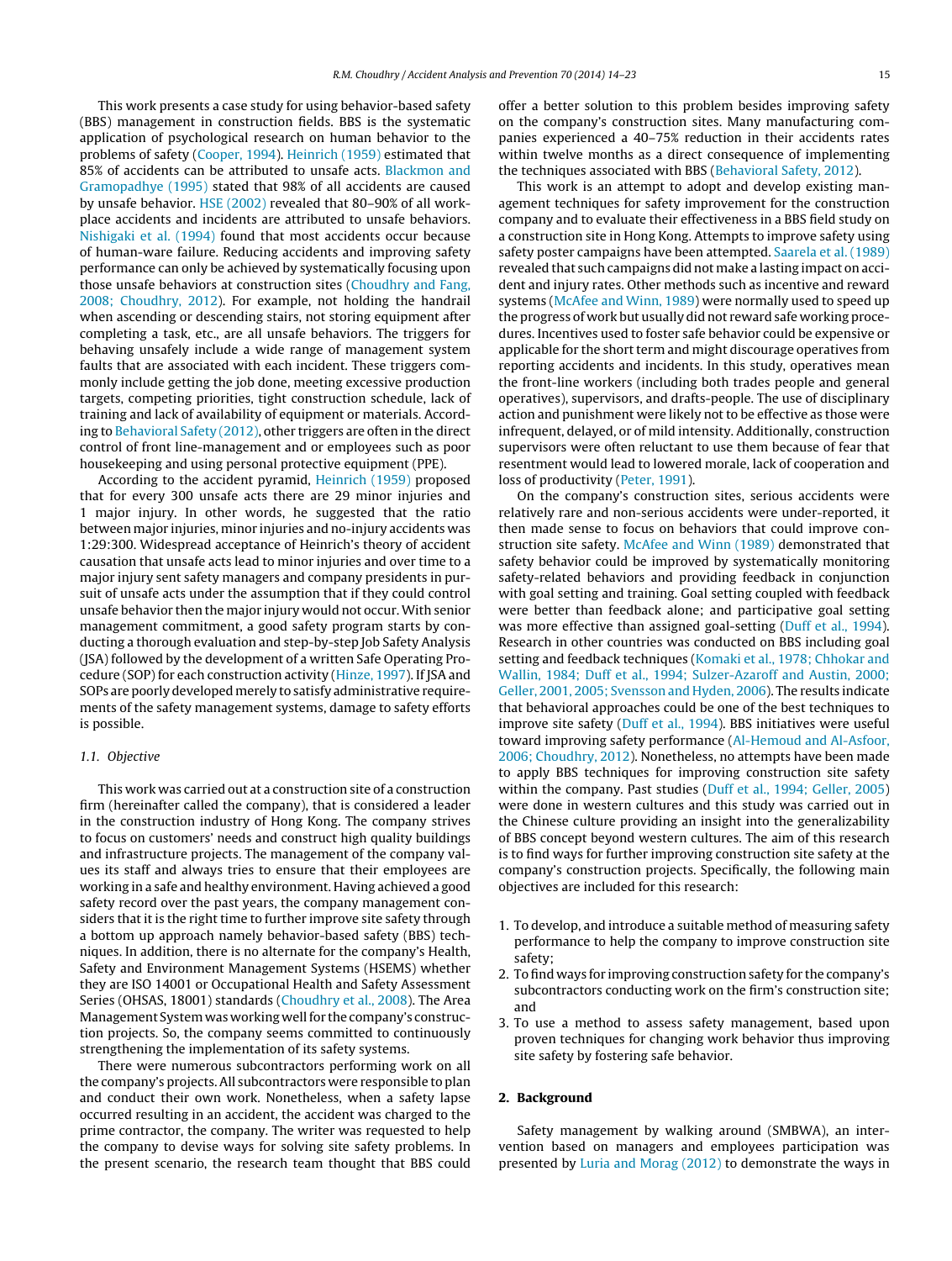This work presents a case study for using behavior-based safety (BBS) management in construction fields. BBS is the systematic application of psychological research on human behavior to the problems of safety ([Cooper,](#page-9-0) [1994\).](#page-9-0) [Heinrich](#page-9-0) [\(1959\)](#page-9-0) estimated that 85% of accidents can be attributed to unsafe acts. [Blackmon](#page-9-0) [and](#page-9-0) [Gramopadhye](#page-9-0) [\(1995\)](#page-9-0) stated that 98% of all accidents are caused by unsafe behavior. [HSE](#page-9-0) [\(2002\)](#page-9-0) revealed that 80–90% of all workplace accidents and incidents are attributed to unsafe behaviors. [Nishigaki](#page-9-0) et [al.](#page-9-0) [\(1994\)](#page-9-0) found that most accidents occur because of human-ware failure. Reducing accidents and improving safety performance can only be achieved by systematically focusing upon those unsafe behaviors at construction sites [\(Choudhry](#page-9-0) [and](#page-9-0) [Fang,](#page-9-0) [2008;](#page-9-0) [Choudhry,](#page-9-0) [2012\).](#page-9-0) For example, not holding the handrail when ascending or descending stairs, not storing equipment after completing a task, etc., are all unsafe behaviors. The triggers for behaving unsafely include a wide range of management system faults that are associated with each incident. These triggers commonly include getting the job done, meeting excessive production targets, competing priorities, tight construction schedule, lack of training and lack of availability of equipment or materials. According to [Behavioral](#page-9-0) [Safety](#page-9-0) [\(2012\),](#page-9-0) other triggers are often in the direct control of front line-management and or employees such as poor housekeeping and using personal protective equipment (PPE).

According to the accident pyramid, [Heinrich](#page-9-0) [\(1959\)](#page-9-0) proposed that for every 300 unsafe acts there are 29 minor injuries and 1 major injury. In other words, he suggested that the ratio between major injuries, minor injuries and no-injury accidents was 1:29:300. Widespread acceptance of Heinrich's theory of accident causation that unsafe acts lead to minor injuries and over time to a major injury sent safety managers and company presidents in pursuit of unsafe acts under the assumption that if they could control unsafe behavior then the major injury would not occur. With senior management commitment, a good safety program starts by conducting a thorough evaluation and step-by-step Job Safety Analysis (JSA) followed by the development of a written Safe Operating Procedure (SOP) for each construction activity ([Hinze,](#page-9-0) [1997\).](#page-9-0) If JSA and SOPs are poorly developedmerely to satisfy administrative requirements of the safety management systems, damage to safety efforts is possible.

# 1.1. Objective

This work was carried out at a construction site of a construction firm (hereinafter called the company), that is considered a leader in the construction industry of Hong Kong. The company strives to focus on customers' needs and construct high quality buildings and infrastructure projects. The management of the company values its staff and always tries to ensure that their employees are working in a safe and healthy environment. Having achieved a good safety record over the past years, the company management considers that it is the right time to further improve site safety through a bottom up approach namely behavior-based safety (BBS) techniques. In addition, there is no alternate for the company's Health, Safety and Environment Management Systems (HSEMS) whether they are ISO 14001 or Occupational Health and Safety Assessment Series (OHSAS, 18001) standards [\(Choudhry](#page-9-0) et [al.,](#page-9-0) [2008\).](#page-9-0) The Area Management System was working well for the company's construction projects. So, the company seems committed to continuously strengthening the implementation of its safety systems.

There were numerous subcontractors performing work on all the company's projects.All subcontractors were responsible to plan and conduct their own work. Nonetheless, when a safety lapse occurred resulting in an accident, the accident was charged to the prime contractor, the company. The writer was requested to help the company to devise ways for solving site safety problems. In the present scenario, the research team thought that BBS could

offer a better solution to this problem besides improving safety on the company's construction sites. Many manufacturing companies experienced a 40–75% reduction in their accidents rates within twelve months as a direct consequence of implementing the techniques associated with BBS ([Behavioral](#page-9-0) [Safety,](#page-9-0) [2012\).](#page-9-0)

This work is an attempt to adopt and develop existing management techniques for safety improvement for the construction company and to evaluate their effectiveness in a BBS field study on a construction site in Hong Kong. Attempts to improve safety using safety poster campaigns have been attempted. [Saarela](#page-9-0) et [al.](#page-9-0) [\(1989\)](#page-9-0) revealed that such campaigns did not make a lasting impact on accident and injury rates. Other methods such as incentive and reward systems ([McAfee](#page-9-0) [and](#page-9-0) [Winn,](#page-9-0) [1989\)](#page-9-0) were normally used to speed up the progress of work but usually did not reward safe working procedures. Incentives used to foster safe behavior could be expensive or applicable for the short term and might discourage operatives from reporting accidents and incidents. In this study, operatives mean the front-line workers (including both trades people and general operatives), supervisors, and drafts-people. The use of disciplinary action and punishment were likely not to be effective as those were infrequent, delayed, or of mild intensity. Additionally, construction supervisors were often reluctant to use them because of fear that resentment would lead to lowered morale, lack of cooperation and loss of productivity ([Peter,](#page-9-0) [1991\).](#page-9-0)

On the company's construction sites, serious accidents were relatively rare and non-serious accidents were under-reported, it then made sense to focus on behaviors that could improve construction site safety. [McAfee](#page-9-0) [and](#page-9-0) [Winn](#page-9-0) [\(1989\)](#page-9-0) demonstrated that safety behavior could be improved by systematically monitoring safety-related behaviors and providing feedback in conjunction with goal setting and training. Goal setting coupled with feedback were better than feedback alone; and participative goal setting was more effective than assigned goal-setting [\(Duff](#page-9-0) et [al.,](#page-9-0) [1994\).](#page-9-0) Research in other countries was conducted on BBS including goal setting and feedback techniques [\(Komaki](#page-9-0) et [al.,](#page-9-0) [1978;](#page-9-0) [Chhokar](#page-9-0) [and](#page-9-0) [Wallin,](#page-9-0) [1984;](#page-9-0) [Duff](#page-9-0) et [al.,](#page-9-0) [1994;](#page-9-0) [Sulzer-Azaroff](#page-9-0) [and](#page-9-0) [Austin,](#page-9-0) [2000;](#page-9-0) [Geller,](#page-9-0) [2001,](#page-9-0) [2005;](#page-9-0) [Svensson](#page-9-0) [and](#page-9-0) [Hyden,](#page-9-0) [2006\).](#page-9-0) The results indicate that behavioral approaches could be one of the best techniques to improve site safety ([Duff](#page-9-0) et [al.,](#page-9-0) [1994\).](#page-9-0) BBS initiatives were useful toward improving safety performance ([Al-Hemoud](#page-9-0) [and](#page-9-0) [Al-Asfoor,](#page-9-0) [2006;](#page-9-0) [Choudhry,](#page-9-0) [2012\).](#page-9-0) Nonetheless, no attempts have been made to apply BBS techniques for improving construction site safety within the company. Past studies ([Duff](#page-9-0) et [al.,](#page-9-0) [1994;](#page-9-0) [Geller,](#page-9-0) [2005\)](#page-9-0) were done in western cultures and this study was carried out in the Chinese culture providing an insight into the generalizability of BBS concept beyond western cultures. The aim of this research is to find ways for further improving construction site safety at the company's construction projects. Specifically, the following main objectives are included for this research:

- 1. To develop, and introduce a suitable method of measuring safety performance to help the company to improve construction site safety;
- 2. To find ways for improving construction safety for the company's subcontractors conducting work on the firm's construction site; and
- 3. To use a method to assess safety management, based upon proven techniques for changing work behavior thus improving site safety by fostering safe behavior.

# **2. Background**

Safety management by walking around (SMBWA), an intervention based on managers and employees participation was presented by [Luria](#page-9-0) [and](#page-9-0) [Morag](#page-9-0) [\(2012\)](#page-9-0) to demonstrate the ways in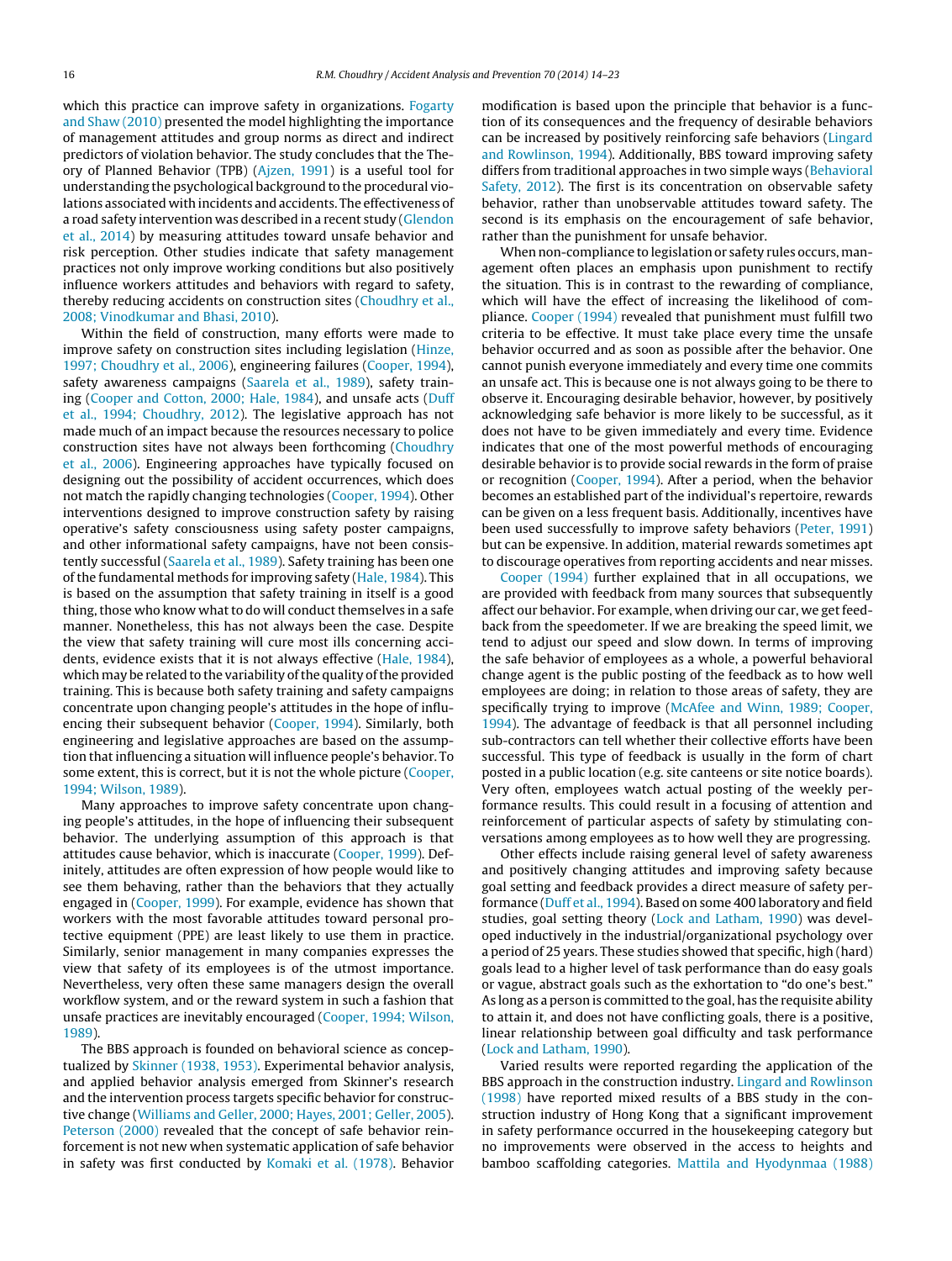which this practice can improve safety in organizations. [Fogarty](#page-9-0) [and](#page-9-0) [Shaw](#page-9-0) [\(2010\)](#page-9-0) presented the model highlighting the importance of management attitudes and group norms as direct and indirect predictors of violation behavior. The study concludes that the Theory of Planned Behavior (TPB) [\(Ajzen,](#page-9-0) [1991\)](#page-9-0) is a useful tool for understanding the psychological background to the procedural violations associated with incidents and accidents. The effectiveness of a road safety intervention was described in a recent study [\(Glendon](#page-9-0) et [al.,](#page-9-0) [2014\)](#page-9-0) by measuring attitudes toward unsafe behavior and risk perception. Other studies indicate that safety management practices not only improve working conditions but also positively influence workers attitudes and behaviors with regard to safety, thereby reducing accidents on construction sites [\(Choudhry](#page-9-0) et [al.,](#page-9-0) [2008;](#page-9-0) [Vinodkumar](#page-9-0) [and](#page-9-0) [Bhasi,](#page-9-0) [2010\).](#page-9-0)

Within the field of construction, many efforts were made to improve safety on construction sites including legislation [\(Hinze,](#page-9-0) [1997;](#page-9-0) [Choudhry](#page-9-0) et [al.,](#page-9-0) [2006\),](#page-9-0) engineering failures ([Cooper,](#page-9-0) [1994\),](#page-9-0) safety awareness campaigns [\(Saarela](#page-9-0) et [al.,](#page-9-0) [1989\),](#page-9-0) safety training ([Cooper](#page-9-0) [and](#page-9-0) [Cotton,](#page-9-0) [2000;](#page-9-0) [Hale,](#page-9-0) [1984\),](#page-9-0) and unsafe acts [\(Duff](#page-9-0) et [al.,](#page-9-0) [1994;](#page-9-0) [Choudhry,](#page-9-0) [2012\).](#page-9-0) The legislative approach has not made much of an impact because the resources necessary to police construction sites have not always been forthcoming ([Choudhry](#page-9-0) et [al.,](#page-9-0) [2006\).](#page-9-0) Engineering approaches have typically focused on designing out the possibility of accident occurrences, which does not match the rapidly changing technologies ([Cooper,](#page-9-0) [1994\).](#page-9-0) Other interventions designed to improve construction safety by raising operative's safety consciousness using safety poster campaigns, and other informational safety campaigns, have not been consistently successful ([Saarela](#page-9-0) et [al.,](#page-9-0) [1989\).](#page-9-0) Safety training has been one ofthe fundamental methods for improving safety [\(Hale,](#page-9-0) [1984\).](#page-9-0) This is based on the assumption that safety training in itself is a good thing, those who know what to do will conduct themselves in a safe manner. Nonetheless, this has not always been the case. Despite the view that safety training will cure most ills concerning accidents, evidence exists that it is not always effective [\(Hale,](#page-9-0) [1984\),](#page-9-0) which may be related to the variability of the quality of the provided training. This is because both safety training and safety campaigns concentrate upon changing people's attitudes in the hope of influencing their subsequent behavior ([Cooper,](#page-9-0) [1994\).](#page-9-0) Similarly, both engineering and legislative approaches are based on the assumption that influencing a situation will influence people's behavior. To some extent, this is correct, but it is not the whole picture [\(Cooper,](#page-9-0) [1994;](#page-9-0) [Wilson,](#page-9-0) [1989\).](#page-9-0)

Many approaches to improve safety concentrate upon changing people's attitudes, in the hope of influencing their subsequent behavior. The underlying assumption of this approach is that attitudes cause behavior, which is inaccurate [\(Cooper,](#page-9-0) [1999\).](#page-9-0) Definitely, attitudes are often expression of how people would like to see them behaving, rather than the behaviors that they actually engaged in [\(Cooper,](#page-9-0) [1999\).](#page-9-0) For example, evidence has shown that workers with the most favorable attitudes toward personal protective equipment (PPE) are least likely to use them in practice. Similarly, senior management in many companies expresses the view that safety of its employees is of the utmost importance. Nevertheless, very often these same managers design the overall workflow system, and or the reward system in such a fashion that unsafe practices are inevitably encouraged [\(Cooper,](#page-9-0) [1994;](#page-9-0) [Wilson,](#page-9-0) [1989\).](#page-9-0)

The BBS approach is founded on behavioral science as conceptualized by [Skinner](#page-9-0) [\(1938,](#page-9-0) [1953\).](#page-9-0) Experimental behavior analysis, and applied behavior analysis emerged from Skinner's research and the intervention process targets specific behavior for constructive change [\(Williams](#page-9-0) [and](#page-9-0) [Geller,](#page-9-0) [2000;](#page-9-0) [Hayes,](#page-9-0) [2001;](#page-9-0) [Geller,](#page-9-0) [2005\).](#page-9-0) [Peterson](#page-9-0) [\(2000\)](#page-9-0) revealed that the concept of safe behavior reinforcement is not new when systematic application of safe behavior in safety was first conducted by [Komaki](#page-9-0) et [al.](#page-9-0) [\(1978\).](#page-9-0) Behavior

modification is based upon the principle that behavior is a function of its consequences and the frequency of desirable behaviors can be increased by positively reinforcing safe behaviors [\(Lingard](#page-9-0) [and](#page-9-0) [Rowlinson,](#page-9-0) [1994\).](#page-9-0) Additionally, BBS toward improving safety differs from traditional approaches in two simple ways [\(Behavioral](#page-9-0) [Safety,](#page-9-0) [2012\).](#page-9-0) The first is its concentration on observable safety behavior, rather than unobservable attitudes toward safety. The second is its emphasis on the encouragement of safe behavior, rather than the punishment for unsafe behavior.

When non-compliance to legislation or safety rules occurs, management often places an emphasis upon punishment to rectify the situation. This is in contrast to the rewarding of compliance, which will have the effect of increasing the likelihood of compliance. [Cooper](#page-9-0) [\(1994\)](#page-9-0) revealed that punishment must fulfill two criteria to be effective. It must take place every time the unsafe behavior occurred and as soon as possible after the behavior. One cannot punish everyone immediately and every time one commits an unsafe act. This is because one is not always going to be there to observe it. Encouraging desirable behavior, however, by positively acknowledging safe behavior is more likely to be successful, as it does not have to be given immediately and every time. Evidence indicates that one of the most powerful methods of encouraging desirable behavior is to provide social rewards in the form of praise or recognition [\(Cooper,](#page-9-0) [1994\).](#page-9-0) After a period, when the behavior becomes an established part of the individual's repertoire, rewards can be given on a less frequent basis. Additionally, incentives have been used successfully to improve safety behaviors [\(Peter,](#page-9-0) [1991\)](#page-9-0) but can be expensive. In addition, material rewards sometimes apt to discourage operatives from reporting accidents and near misses.

[Cooper](#page-9-0) [\(1994\)](#page-9-0) further explained that in all occupations, we are provided with feedback from many sources that subsequently affect our behavior. For example, when driving our car, we get feedback from the speedometer. If we are breaking the speed limit, we tend to adjust our speed and slow down. In terms of improving the safe behavior of employees as a whole, a powerful behavioral change agent is the public posting of the feedback as to how well employees are doing; in relation to those areas of safety, they are specifically trying to improve ([McAfee](#page-9-0) [and](#page-9-0) [Winn,](#page-9-0) [1989;](#page-9-0) [Cooper,](#page-9-0) [1994\).](#page-9-0) The advantage of feedback is that all personnel including sub-contractors can tell whether their collective efforts have been successful. This type of feedback is usually in the form of chart posted in a public location (e.g. site canteens or site notice boards). Very often, employees watch actual posting of the weekly performance results. This could result in a focusing of attention and reinforcement of particular aspects of safety by stimulating conversations among employees as to how well they are progressing.

Other effects include raising general level of safety awareness and positively changing attitudes and improving safety because goal setting and feedback provides a direct measure of safety performance [\(Duff](#page-9-0) et [al.,](#page-9-0) [1994\).](#page-9-0) Based on some 400 laboratory and field studies, goal setting theory ([Lock](#page-9-0) [and](#page-9-0) [Latham,](#page-9-0) [1990\)](#page-9-0) was developed inductively in the industrial/organizational psychology over a period of 25 years. These studies showed that specific, high (hard) goals lead to a higher level of task performance than do easy goals or vague, abstract goals such as the exhortation to "do one's best." As long as a person is committed to the goal, has the requisite ability to attain it, and does not have conflicting goals, there is a positive, linear relationship between goal difficulty and task performance [\(Lock](#page-9-0) [and](#page-9-0) [Latham,](#page-9-0) [1990\).](#page-9-0)

Varied results were reported regarding the application of the BBS approach in the construction industry. [Lingard](#page-9-0) [and](#page-9-0) [Rowlinson](#page-9-0) [\(1998\)](#page-9-0) have reported mixed results of a BBS study in the construction industry of Hong Kong that a significant improvement in safety performance occurred in the housekeeping category but no improvements were observed in the access to heights and bamboo scaffolding categories. [Mattila](#page-9-0) [and](#page-9-0) [Hyodynmaa](#page-9-0) [\(1988\)](#page-9-0)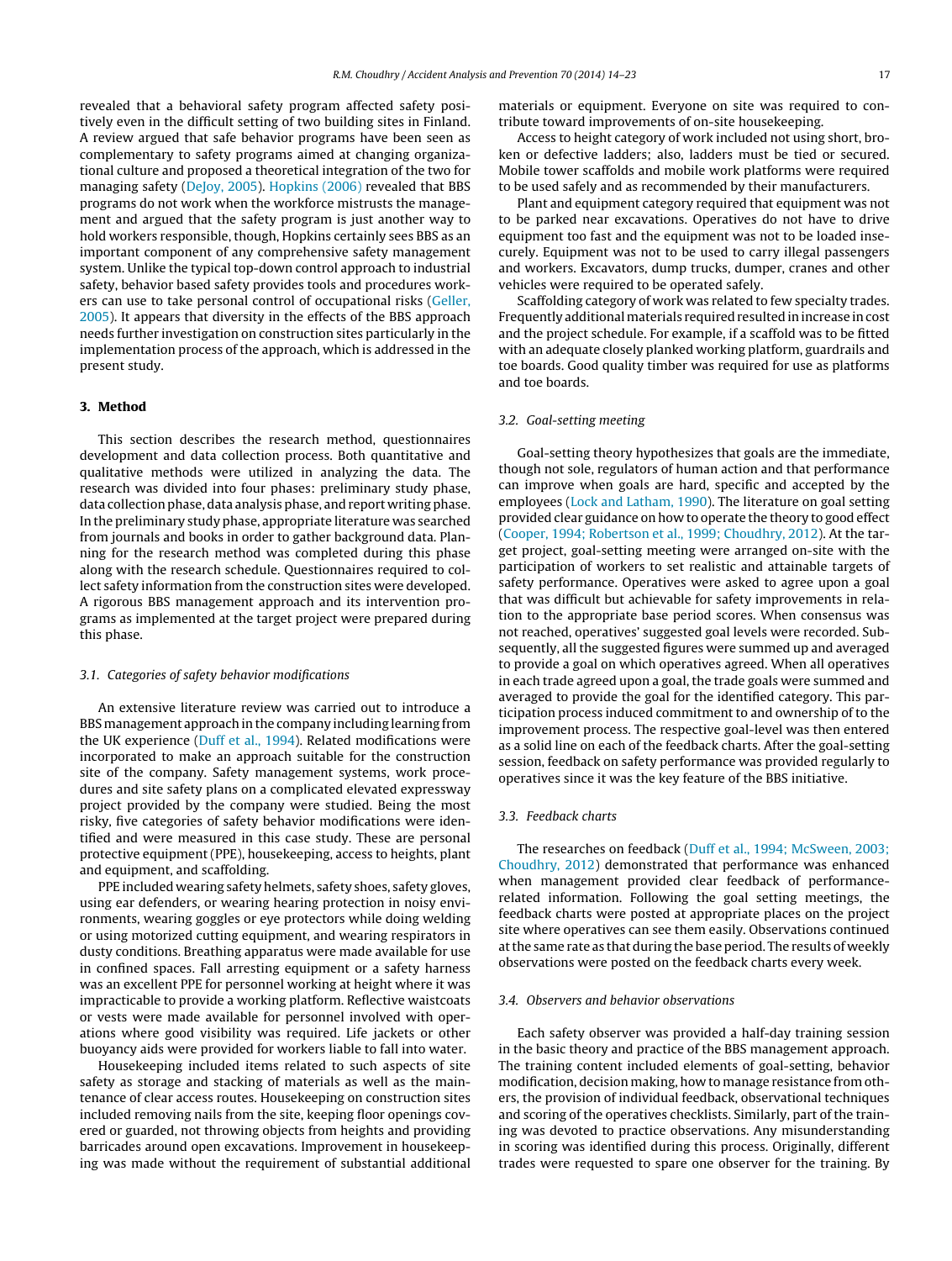revealed that a behavioral safety program affected safety positively even in the difficult setting of two building sites in Finland. A review argued that safe behavior programs have been seen as complementary to safety programs aimed at changing organizational culture and proposed a theoretical integration of the two for managing safety [\(DeJoy,](#page-9-0) [2005\).](#page-9-0) [Hopkins](#page-9-0) [\(2006\)](#page-9-0) revealed that BBS programs do not work when the workforce mistrusts the management and argued that the safety program is just another way to hold workers responsible, though, Hopkins certainly sees BBS as an important component of any comprehensive safety management system. Unlike the typical top-down control approach to industrial safety, behavior based safety provides tools and procedures workers can use to take personal control of occupational risks [\(Geller,](#page-9-0) [2005\).](#page-9-0) It appears that diversity in the effects of the BBS approach needs further investigation on construction sites particularly in the implementation process of the approach, which is addressed in the present study.

# **3. Method**

This section describes the research method, questionnaires development and data collection process. Both quantitative and qualitative methods were utilized in analyzing the data. The research was divided into four phases: preliminary study phase, data collection phase, data analysis phase, and report writing phase. In the preliminary study phase, appropriate literature was searched from journals and books in order to gather background data. Planning for the research method was completed during this phase along with the research schedule. Questionnaires required to collect safety information from the construction sites were developed. A rigorous BBS management approach and its intervention programs as implemented at the target project were prepared during this phase.

#### 3.1. Categories of safety behavior modifications

An extensive literature review was carried out to introduce a BBSmanagement approach in the company including learning from the UK experience [\(Duff](#page-9-0) et [al.,](#page-9-0) [1994\).](#page-9-0) Related modifications were incorporated to make an approach suitable for the construction site of the company. Safety management systems, work procedures and site safety plans on a complicated elevated expressway project provided by the company were studied. Being the most risky, five categories of safety behavior modifications were identified and were measured in this case study. These are personal protective equipment (PPE), housekeeping, access to heights, plant and equipment, and scaffolding.

PPE included wearing safety helmets, safety shoes, safety gloves, using ear defenders, or wearing hearing protection in noisy environments, wearing goggles or eye protectors while doing welding or using motorized cutting equipment, and wearing respirators in dusty conditions. Breathing apparatus were made available for use in confined spaces. Fall arresting equipment or a safety harness was an excellent PPE for personnel working at height where it was impracticable to provide a working platform. Reflective waistcoats or vests were made available for personnel involved with operations where good visibility was required. Life jackets or other buoyancy aids were provided for workers liable to fall into water.

Housekeeping included items related to such aspects of site safety as storage and stacking of materials as well as the maintenance of clear access routes. Housekeeping on construction sites included removing nails from the site, keeping floor openings covered or guarded, not throwing objects from heights and providing barricades around open excavations. Improvement in housekeeping was made without the requirement of substantial additional materials or equipment. Everyone on site was required to contribute toward improvements of on-site housekeeping.

Access to height category of work included not using short, broken or defective ladders; also, ladders must be tied or secured. Mobile tower scaffolds and mobile work platforms were required to be used safely and as recommended by their manufacturers.

Plant and equipment category required that equipment was not to be parked near excavations. Operatives do not have to drive equipment too fast and the equipment was not to be loaded insecurely. Equipment was not to be used to carry illegal passengers and workers. Excavators, dump trucks, dumper, cranes and other vehicles were required to be operated safely.

Scaffolding category of work was related to few specialty trades. Frequently additional materials required resulted in increase in cost and the project schedule. For example, if a scaffold was to be fitted with an adequate closely planked working platform, guardrails and toe boards. Good quality timber was required for use as platforms and toe boards.

#### 3.2. Goal-setting meeting

Goal-setting theory hypothesizes that goals are the immediate, though not sole, regulators of human action and that performance can improve when goals are hard, specific and accepted by the employees ([Lock](#page-9-0) [and](#page-9-0) [Latham,](#page-9-0) [1990\).](#page-9-0) The literature on goal setting provided clear guidance on how to operate the theory to good effect [\(Cooper,](#page-9-0) [1994;](#page-9-0) [Robertson](#page-9-0) et [al.,](#page-9-0) [1999;](#page-9-0) [Choudhry,](#page-9-0) [2012\).](#page-9-0) At the target project, goal-setting meeting were arranged on-site with the participation of workers to set realistic and attainable targets of safety performance. Operatives were asked to agree upon a goal that was difficult but achievable for safety improvements in relation to the appropriate base period scores. When consensus was not reached, operatives' suggested goal levels were recorded. Subsequently, all the suggested figures were summed up and averaged to provide a goal on which operatives agreed. When all operatives in each trade agreed upon a goal, the trade goals were summed and averaged to provide the goal for the identified category. This participation process induced commitment to and ownership of to the improvement process. The respective goal-level was then entered as a solid line on each of the feedback charts. After the goal-setting session, feedback on safety performance was provided regularly to operatives since it was the key feature of the BBS initiative.

# 3.3. Feedback charts

The researches on feedback ([Duff](#page-9-0) et [al.,](#page-9-0) [1994;](#page-9-0) [McSween,](#page-9-0) [2003;](#page-9-0) [Choudhry,](#page-9-0) [2012\)](#page-9-0) demonstrated that performance was enhanced when management provided clear feedback of performancerelated information. Following the goal setting meetings, the feedback charts were posted at appropriate places on the project site where operatives can see them easily. Observations continued atthe same rate as that during the base period. The results of weekly observations were posted on the feedback charts every week.

#### 3.4. Observers and behavior observations

Each safety observer was provided a half-day training session in the basic theory and practice of the BBS management approach. The training content included elements of goal-setting, behavior modification, decision making, how to manage resistance from others, the provision of individual feedback, observational techniques and scoring of the operatives checklists. Similarly, part of the training was devoted to practice observations. Any misunderstanding in scoring was identified during this process. Originally, different trades were requested to spare one observer for the training. By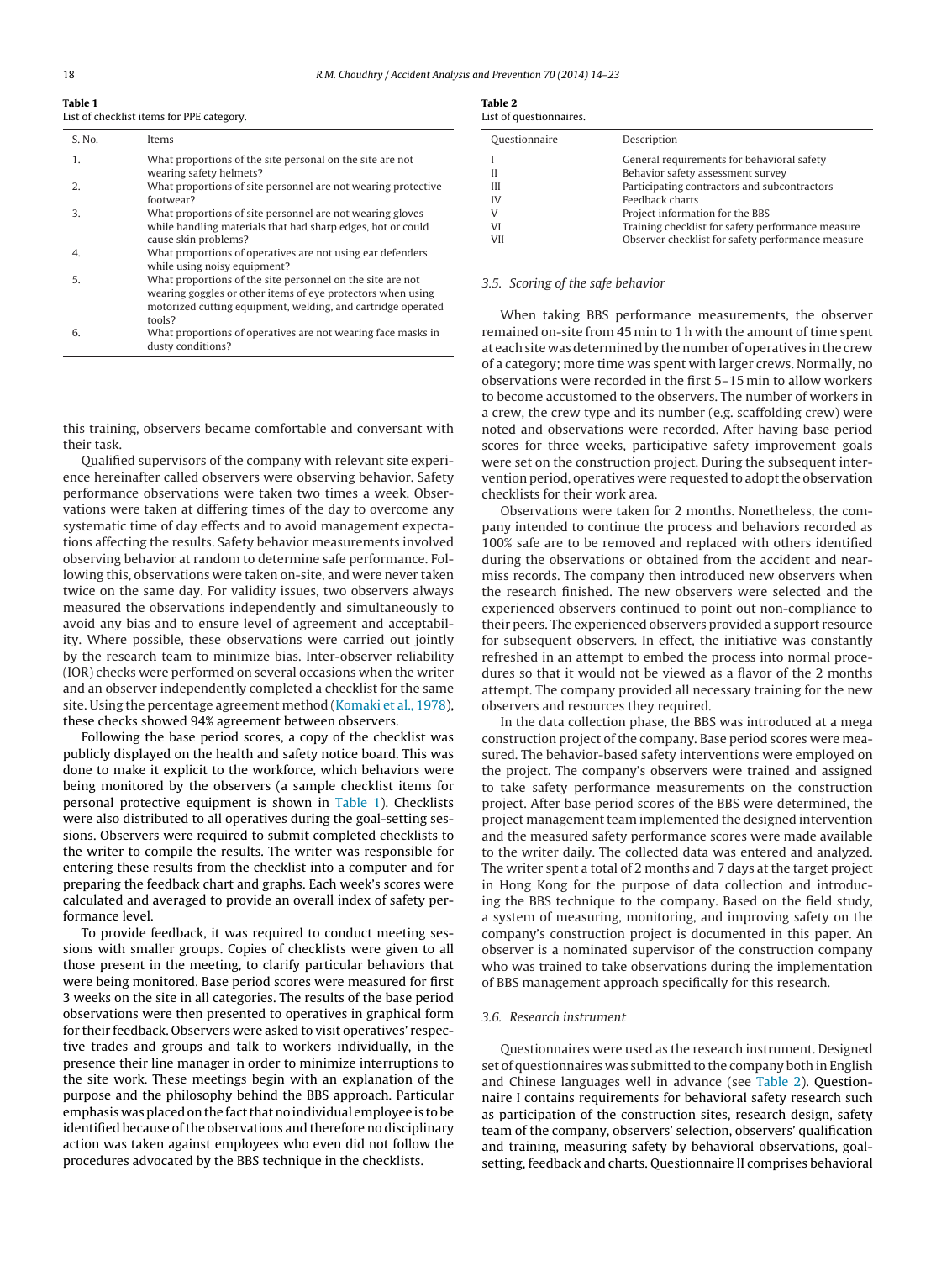#### 18 R.M. Choudhry / Accident Analysis and Prevention 70 (2014) 14–23

#### **Table 1** List of checklist items for PPE category.

| S. No. | Items                                                                                                                                                                                               |
|--------|-----------------------------------------------------------------------------------------------------------------------------------------------------------------------------------------------------|
| 1.     | What proportions of the site personal on the site are not<br>wearing safety helmets?                                                                                                                |
| 2.     | What proportions of site personnel are not wearing protective<br>footwear?                                                                                                                          |
| 3.     | What proportions of site personnel are not wearing gloves<br>while handling materials that had sharp edges, hot or could<br>cause skin problems?                                                    |
| 4.     | What proportions of operatives are not using ear defenders<br>while using noisy equipment?                                                                                                          |
| 5.     | What proportions of the site personnel on the site are not<br>wearing goggles or other items of eye protectors when using<br>motorized cutting equipment, welding, and cartridge operated<br>tools? |
| 6.     | What proportions of operatives are not wearing face masks in<br>dusty conditions?                                                                                                                   |

| Table 2 |                         |  |
|---------|-------------------------|--|
|         | List of questionnaires. |  |

| Questionnaire | Description                                       |
|---------------|---------------------------------------------------|
|               | General requirements for behavioral safety        |
| Н             | Behavior safety assessment survey                 |
| Ш             | Participating contractors and subcontractors      |
| IV            | Feedback charts                                   |
| V             | Project information for the BBS                   |
| VI            | Training checklist for safety performance measure |
| VII           | Observer checklist for safety performance measure |
|               |                                                   |

#### 3.5. Scoring of the safe behavior

When taking BBS performance measurements, the observer remained on-site from 45 min to 1 h with the amount of time spent at each site was determined by the number of operatives in the crew of a category; more time was spent with larger crews. Normally, no observations were recorded in the first 5–15 min to allow workers to become accustomed to the observers. The number of workers in a crew, the crew type and its number (e.g. scaffolding crew) were noted and observations were recorded. After having base period scores for three weeks, participative safety improvement goals were set on the construction project. During the subsequent intervention period, operatives were requested to adopt the observation checklists for their work area.

Observations were taken for 2 months. Nonetheless, the company intended to continue the process and behaviors recorded as 100% safe are to be removed and replaced with others identified during the observations or obtained from the accident and nearmiss records. The company then introduced new observers when the research finished. The new observers were selected and the experienced observers continued to point out non-compliance to their peers. The experienced observers provided a support resource for subsequent observers. In effect, the initiative was constantly refreshed in an attempt to embed the process into normal procedures so that it would not be viewed as a flavor of the 2 months attempt. The company provided all necessary training for the new observers and resources they required.

In the data collection phase, the BBS was introduced at a mega construction project of the company. Base period scores were measured. The behavior-based safety interventions were employed on the project. The company's observers were trained and assigned to take safety performance measurements on the construction project. After base period scores of the BBS were determined, the project management team implemented the designed intervention and the measured safety performance scores were made available to the writer daily. The collected data was entered and analyzed. The writer spent a total of 2 months and 7 days at the target project in Hong Kong for the purpose of data collection and introducing the BBS technique to the company. Based on the field study, a system of measuring, monitoring, and improving safety on the company's construction project is documented in this paper. An observer is a nominated supervisor of the construction company who was trained to take observations during the implementation of BBS management approach specifically for this research.

#### 3.6. Research instrument

Questionnaires were used as the research instrument. Designed set of questionnaires was submitted to the company both in English and Chinese languages well in advance (see Table 2). Questionnaire I contains requirements for behavioral safety research such as participation of the construction sites, research design, safety team of the company, observers' selection, observers' qualification and training, measuring safety by behavioral observations, goalsetting, feedback and charts. Questionnaire II comprises behavioral

this training, observers became comfortable and conversant with their task.

Qualified supervisors of the company with relevant site experience hereinafter called observers were observing behavior. Safety performance observations were taken two times a week. Observations were taken at differing times of the day to overcome any systematic time of day effects and to avoid management expectations affecting the results. Safety behavior measurements involved observing behavior at random to determine safe performance. Following this, observations were taken on-site, and were never taken twice on the same day. For validity issues, two observers always measured the observations independently and simultaneously to avoid any bias and to ensure level of agreement and acceptability. Where possible, these observations were carried out jointly by the research team to minimize bias. Inter-observer reliability (IOR) checks were performed on several occasions when the writer and an observer independently completed a checklist for the same site. Using the percentage agreement method [\(Komaki](#page-9-0) et [al.,](#page-9-0) [1978\),](#page-9-0) these checks showed 94% agreement between observers.

Following the base period scores, a copy of the checklist was publicly displayed on the health and safety notice board. This was done to make it explicit to the workforce, which behaviors were being monitored by the observers (a sample checklist items for personal protective equipment is shown in Table 1). Checklists were also distributed to all operatives during the goal-setting sessions. Observers were required to submit completed checklists to the writer to compile the results. The writer was responsible for entering these results from the checklist into a computer and for preparing the feedback chart and graphs. Each week's scores were calculated and averaged to provide an overall index of safety performance level.

To provide feedback, it was required to conduct meeting sessions with smaller groups. Copies of checklists were given to all those present in the meeting, to clarify particular behaviors that were being monitored. Base period scores were measured for first 3 weeks on the site in all categories. The results of the base period observations were then presented to operatives in graphical form for their feedback. Observers were asked to visit operatives' respective trades and groups and talk to workers individually, in the presence their line manager in order to minimize interruptions to the site work. These meetings begin with an explanation of the purpose and the philosophy behind the BBS approach. Particular emphasis was placed on the fact that no individual employee is to be identified because of the observations and therefore no disciplinary action was taken against employees who even did not follow the procedures advocated by the BBS technique in the checklists.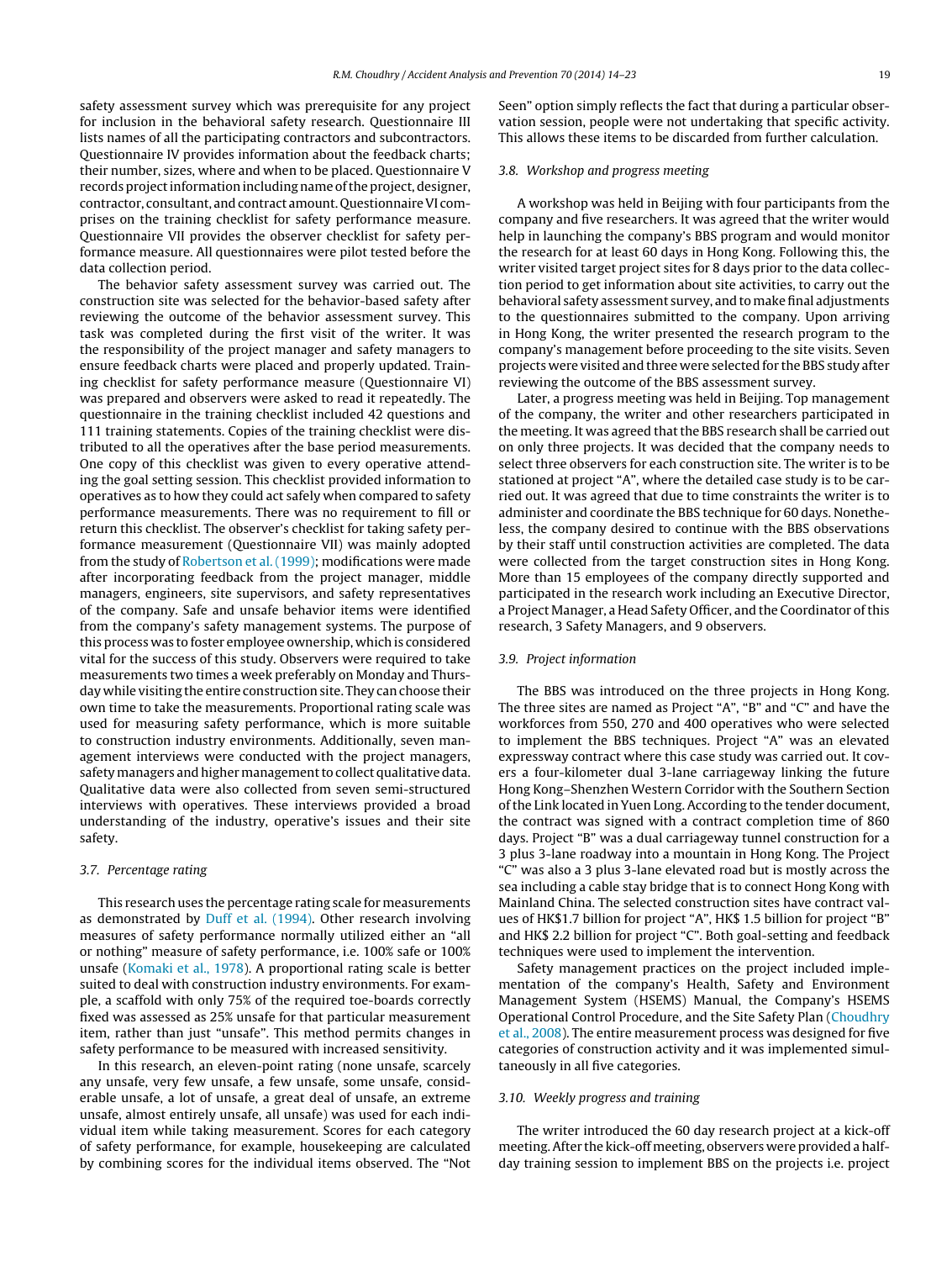safety assessment survey which was prerequisite for any project for inclusion in the behavioral safety research. Questionnaire III lists names of all the participating contractors and subcontractors. Questionnaire IV provides information about the feedback charts; their number, sizes, where and when to be placed. Questionnaire V records project information including name of the project, designer, contractor, consultant, and contract amount. Questionnaire VI comprises on the training checklist for safety performance measure. Questionnaire VII provides the observer checklist for safety performance measure. All questionnaires were pilot tested before the data collection period.

The behavior safety assessment survey was carried out. The construction site was selected for the behavior-based safety after reviewing the outcome of the behavior assessment survey. This task was completed during the first visit of the writer. It was the responsibility of the project manager and safety managers to ensure feedback charts were placed and properly updated. Training checklist for safety performance measure (Questionnaire VI) was prepared and observers were asked to read it repeatedly. The questionnaire in the training checklist included 42 questions and 111 training statements. Copies of the training checklist were distributed to all the operatives after the base period measurements. One copy of this checklist was given to every operative attending the goal setting session. This checklist provided information to operatives as to how they could act safely when compared to safety performance measurements. There was no requirement to fill or return this checklist. The observer's checklist for taking safety performance measurement (Questionnaire VII) was mainly adopted from the study of [Robertson](#page-9-0) et [al.](#page-9-0) [\(1999\);](#page-9-0) modifications were made after incorporating feedback from the project manager, middle managers, engineers, site supervisors, and safety representatives of the company. Safe and unsafe behavior items were identified from the company's safety management systems. The purpose of this process was to foster employee ownership, which is considered vital for the success of this study. Observers were required to take measurements two times a week preferably on Monday and Thursday while visiting the entire constructionsite. They canchoose their own time to take the measurements. Proportional rating scale was used for measuring safety performance, which is more suitable to construction industry environments. Additionally, seven management interviews were conducted with the project managers, safety managers and higher management to collect qualitative data. Qualitative data were also collected from seven semi-structured interviews with operatives. These interviews provided a broad understanding of the industry, operative's issues and their site safety.

# 3.7. Percentage rating

This research uses the percentage rating scale for measurements as demonstrated by [Duff](#page-9-0) et [al.](#page-9-0) [\(1994\).](#page-9-0) Other research involving measures of safety performance normally utilized either an "all or nothing" measure of safety performance, i.e. 100% safe or 100% unsafe ([Komaki](#page-9-0) et [al.,](#page-9-0) [1978\).](#page-9-0) A proportional rating scale is better suited to deal with construction industry environments. For example, a scaffold with only 75% of the required toe-boards correctly fixed was assessed as 25% unsafe for that particular measurement item, rather than just "unsafe". This method permits changes in safety performance to be measured with increased sensitivity.

In this research, an eleven-point rating (none unsafe, scarcely any unsafe, very few unsafe, a few unsafe, some unsafe, considerable unsafe, a lot of unsafe, a great deal of unsafe, an extreme unsafe, almost entirely unsafe, all unsafe) was used for each individual item while taking measurement. Scores for each category of safety performance, for example, housekeeping are calculated by combining scores for the individual items observed. The "Not Seen" option simply reflects the fact that during a particular observation session, people were not undertaking that specific activity. This allows these items to be discarded from further calculation.

#### 3.8. Workshop and progress meeting

A workshop was held in Beijing with four participants from the company and five researchers. It was agreed that the writer would help in launching the company's BBS program and would monitor the research for at least 60 days in Hong Kong. Following this, the writer visited target project sites for 8 days prior to the data collection period to get information about site activities, to carry out the behavioral safety assessment survey, and to make final adjustments to the questionnaires submitted to the company. Upon arriving in Hong Kong, the writer presented the research program to the company's management before proceeding to the site visits. Seven projects were visited and three were selected for the BBS study after reviewing the outcome of the BBS assessment survey.

Later, a progress meeting was held in Beijing. Top management of the company, the writer and other researchers participated in the meeting. It was agreed that the BBS research shall be carried out on only three projects. It was decided that the company needs to select three observers for each construction site. The writer is to be stationed at project "A", where the detailed case study is to be carried out. It was agreed that due to time constraints the writer is to administer and coordinate the BBS technique for 60 days. Nonetheless, the company desired to continue with the BBS observations by their staff until construction activities are completed. The data were collected from the target construction sites in Hong Kong. More than 15 employees of the company directly supported and participated in the research work including an Executive Director, a Project Manager, a Head Safety Officer, and the Coordinator of this research, 3 Safety Managers, and 9 observers.

# 3.9. Project information

The BBS was introduced on the three projects in Hong Kong. The three sites are named as Project "A", "B" and "C" and have the workforces from 550, 270 and 400 operatives who were selected to implement the BBS techniques. Project "A" was an elevated expressway contract where this case study was carried out. It covers a four-kilometer dual 3-lane carriageway linking the future Hong Kong–Shenzhen Western Corridor with the Southern Section ofthe Link located in Yuen Long. According to the tender document, the contract was signed with a contract completion time of 860 days. Project "B" was a dual carriageway tunnel construction for a 3 plus 3-lane roadway into a mountain in Hong Kong. The Project "C" was also a 3 plus 3-lane elevated road but is mostly across the sea including a cable stay bridge that is to connect Hong Kong with Mainland China. The selected construction sites have contract values of HK\$1.7 billion for project "A", HK\$ 1.5 billion for project "B" and HK\$ 2.2 billion for project "C". Both goal-setting and feedback techniques were used to implement the intervention.

Safety management practices on the project included implementation of the company's Health, Safety and Environment Management System (HSEMS) Manual, the Company's HSEMS Operational Control Procedure, and the Site Safety Plan [\(Choudhry](#page-9-0) et [al.,](#page-9-0) [2008\).](#page-9-0) The entire measurement process was designed for five categories of construction activity and it was implemented simultaneously in all five categories.

# 3.10. Weekly progress and training

The writer introduced the 60 day research project at a kick-off meeting.After the kick-offmeeting, observers were provided ahalfday training session to implement BBS on the projects i.e. project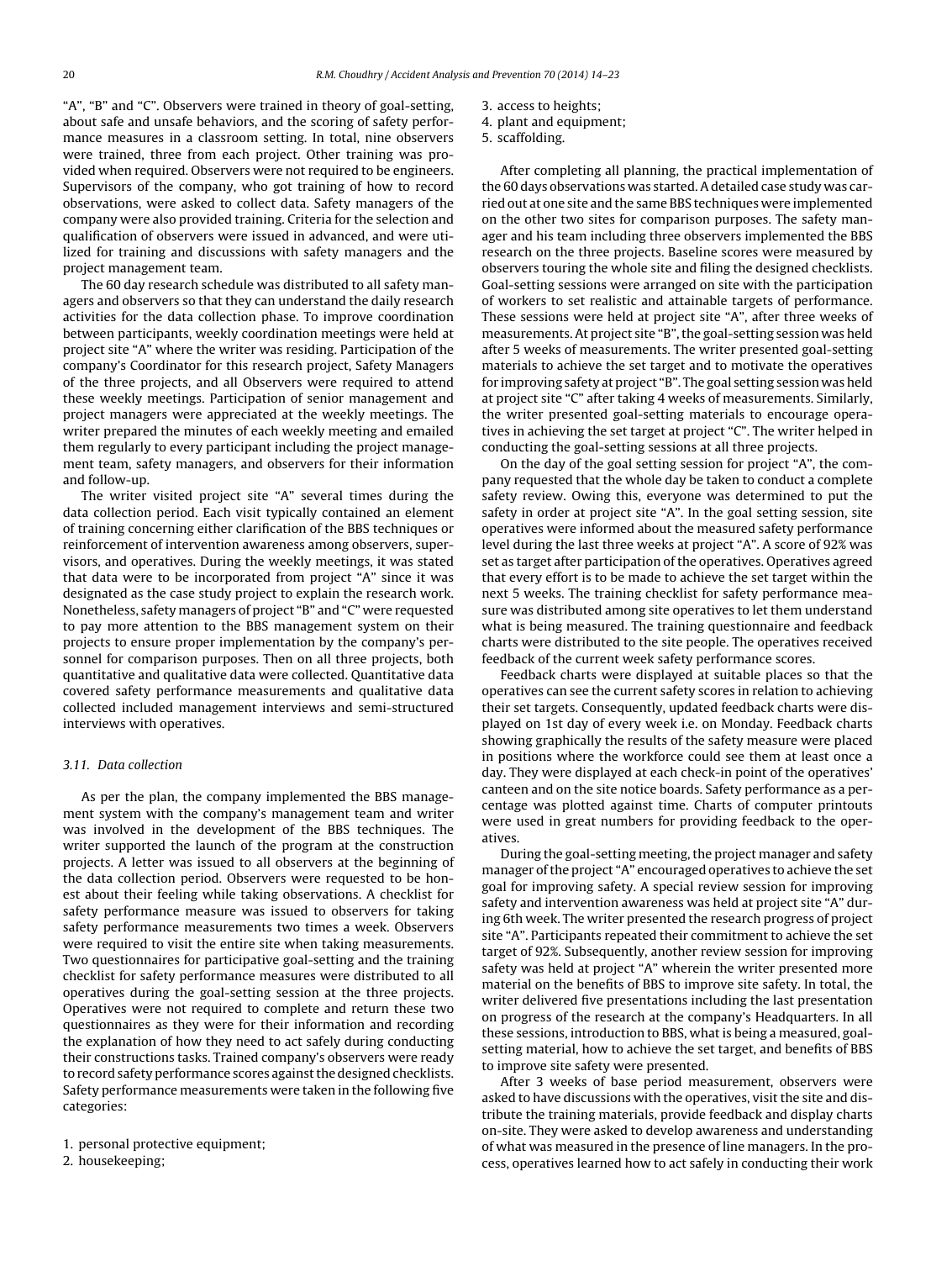"A", "B" and "C". Observers were trained in theory of goal-setting, about safe and unsafe behaviors, and the scoring of safety performance measures in a classroom setting. In total, nine observers were trained, three from each project. Other training was provided when required. Observers were not required to be engineers. Supervisors of the company, who got training of how to record observations, were asked to collect data. Safety managers of the company were also provided training. Criteria for the selection and qualification of observers were issued in advanced, and were utilized for training and discussions with safety managers and the project management team.

The 60 day research schedule was distributed to all safety managers and observers so that they can understand the daily research activities for the data collection phase. To improve coordination between participants, weekly coordination meetings were held at project site "A" where the writer was residing. Participation of the company's Coordinator for this research project, Safety Managers of the three projects, and all Observers were required to attend these weekly meetings. Participation of senior management and project managers were appreciated at the weekly meetings. The writer prepared the minutes of each weekly meeting and emailed them regularly to every participant including the project management team, safety managers, and observers for their information and follow-up.

The writer visited project site "A" several times during the data collection period. Each visit typically contained an element of training concerning either clarification of the BBS techniques or reinforcement of intervention awareness among observers, supervisors, and operatives. During the weekly meetings, it was stated that data were to be incorporated from project "A" since it was designated as the case study project to explain the research work. Nonetheless, safety managers of project "B" and "C" were requested to pay more attention to the BBS management system on their projects to ensure proper implementation by the company's personnel for comparison purposes. Then on all three projects, both quantitative and qualitative data were collected. Quantitative data covered safety performance measurements and qualitative data collected included management interviews and semi-structured interviews with operatives.

# 3.11. Data collection

As per the plan, the company implemented the BBS management system with the company's management team and writer was involved in the development of the BBS techniques. The writer supported the launch of the program at the construction projects. A letter was issued to all observers at the beginning of the data collection period. Observers were requested to be honest about their feeling while taking observations. A checklist for safety performance measure was issued to observers for taking safety performance measurements two times a week. Observers were required to visit the entire site when taking measurements. Two questionnaires for participative goal-setting and the training checklist for safety performance measures were distributed to all operatives during the goal-setting session at the three projects. Operatives were not required to complete and return these two questionnaires as they were for their information and recording the explanation of how they need to act safely during conducting their constructions tasks. Trained company's observers were ready to record safety performance scores against the designed checklists. Safety performance measurements were taken in the following five categories:

1. personal protective equipment;

2. housekeeping;

- 3. access to heights;
- 4. plant and equipment;
- 5. scaffolding.

After completing all planning, the practical implementation of the 60 days observations was started. A detailed case study was carried out at one site and the same BBS techniques were implemented on the other two sites for comparison purposes. The safety manager and his team including three observers implemented the BBS research on the three projects. Baseline scores were measured by observers touring the whole site and filing the designed checklists. Goal-setting sessions were arranged on site with the participation of workers to set realistic and attainable targets of performance. These sessions were held at project site "A", after three weeks of measurements.At project site "B",the goal-setting session was held after 5 weeks of measurements. The writer presented goal-setting materials to achieve the set target and to motivate the operatives for improving safety at project "B". The goal setting session was held at project site "C" after taking 4 weeks of measurements. Similarly, the writer presented goal-setting materials to encourage operatives in achieving the set target at project "C". The writer helped in conducting the goal-setting sessions at all three projects.

On the day of the goal setting session for project "A", the company requested that the whole day be taken to conduct a complete safety review. Owing this, everyone was determined to put the safety in order at project site "A". In the goal setting session, site operatives were informed about the measured safety performance level during the last three weeks at project "A". A score of 92% was set as target after participation of the operatives. Operatives agreed that every effort is to be made to achieve the set target within the next 5 weeks. The training checklist for safety performance measure was distributed among site operatives to let them understand what is being measured. The training questionnaire and feedback charts were distributed to the site people. The operatives received feedback of the current week safety performance scores.

Feedback charts were displayed at suitable places so that the operatives can see the current safety scores in relation to achieving their set targets. Consequently, updated feedback charts were displayed on 1st day of every week i.e. on Monday. Feedback charts showing graphically the results of the safety measure were placed in positions where the workforce could see them at least once a day. They were displayed at each check-in point of the operatives' canteen and on the site notice boards. Safety performance as a percentage was plotted against time. Charts of computer printouts were used in great numbers for providing feedback to the operatives.

During the goal-setting meeting, the project manager and safety manager of the project "A" encouraged operatives to achieve the set goal for improving safety. A special review session for improving safety and intervention awareness was held at project site "A" during 6th week. The writer presented the research progress of project site "A". Participants repeated their commitment to achieve the set target of 92%. Subsequently, another review session for improving safety was held at project "A" wherein the writer presented more material on the benefits of BBS to improve site safety. In total, the writer delivered five presentations including the last presentation on progress of the research at the company's Headquarters. In all these sessions, introduction to BBS, what is being a measured, goalsetting material, how to achieve the set target, and benefits of BBS to improve site safety were presented.

After 3 weeks of base period measurement, observers were asked to have discussions with the operatives, visit the site and distribute the training materials, provide feedback and display charts on-site. They were asked to develop awareness and understanding of what was measured in the presence of line managers. In the process, operatives learned how to act safely in conducting their work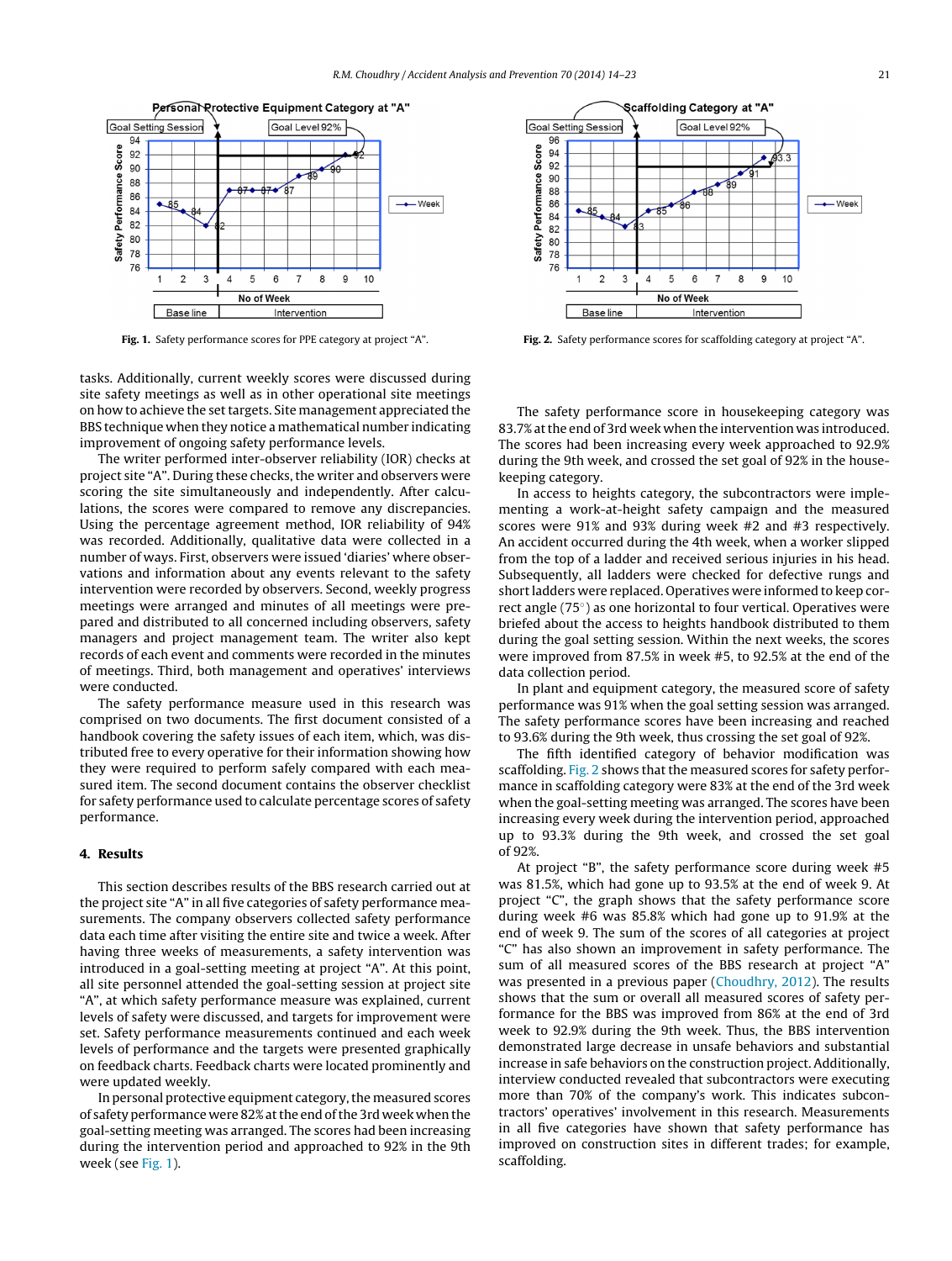

**Fig. 1.** Safety performance scores for PPE category at project "A".

tasks. Additionally, current weekly scores were discussed during site safety meetings as well as in other operational site meetings on how to achieve the settargets. Site management appreciated the BBS technique when they notice a mathematical number indicating improvement of ongoing safety performance levels.

The writer performed inter-observer reliability (IOR) checks at project site "A". During these checks, the writer and observers were scoring the site simultaneously and independently. After calculations, the scores were compared to remove any discrepancies. Using the percentage agreement method, IOR reliability of 94% was recorded. Additionally, qualitative data were collected in a number of ways. First, observers were issued 'diaries' where observations and information about any events relevant to the safety intervention were recorded by observers. Second, weekly progress meetings were arranged and minutes of all meetings were prepared and distributed to all concerned including observers, safety managers and project management team. The writer also kept records of each event and comments were recorded in the minutes of meetings. Third, both management and operatives' interviews were conducted.

The safety performance measure used in this research was comprised on two documents. The first document consisted of a handbook covering the safety issues of each item, which, was distributed free to every operative for their information showing how they were required to perform safely compared with each measured item. The second document contains the observer checklist for safety performance used to calculate percentage scores of safety performance.

# **4. Results**

This section describes results of the BBS research carried out at the project site "A" in all five categories of safety performance measurements. The company observers collected safety performance data each time after visiting the entire site and twice a week. After having three weeks of measurements, a safety intervention was introduced in a goal-setting meeting at project "A". At this point, all site personnel attended the goal-setting session at project site "A", at which safety performance measure was explained, current levels of safety were discussed, and targets for improvement were set. Safety performance measurements continued and each week levels of performance and the targets were presented graphically on feedback charts. Feedback charts were located prominently and were updated weekly.

In personal protective equipment category, the measured scores of safety performance were 82%atthe end ofthe 3rd week when the goal-setting meeting was arranged. The scores had been increasing during the intervention period and approached to 92% in the 9th week (see Fig. 1).



**Fig. 2.** Safety performance scores for scaffolding category at project "A".

The safety performance score in housekeeping category was 83.7% at the end of 3rd week when the intervention was introduced. The scores had been increasing every week approached to 92.9% during the 9th week, and crossed the set goal of 92% in the housekeeping category.

In access to heights category, the subcontractors were implementing a work-at-height safety campaign and the measured scores were 91% and 93% during week #2 and #3 respectively. An accident occurred during the 4th week, when a worker slipped from the top of a ladder and received serious injuries in his head. Subsequently, all ladders were checked for defective rungs and shortladders were replaced. Operatives were informed to keep correct angle (75◦) as one horizontal to four vertical. Operatives were briefed about the access to heights handbook distributed to them during the goal setting session. Within the next weeks, the scores were improved from 87.5% in week #5, to 92.5% at the end of the data collection period.

In plant and equipment category, the measured score of safety performance was 91% when the goal setting session was arranged. The safety performance scores have been increasing and reached to 93.6% during the 9th week, thus crossing the set goal of 92%.

The fifth identified category of behavior modification was scaffolding. Fig. 2 shows that the measured scores for safety performance in scaffolding category were 83% at the end of the 3rd week when the goal-setting meeting was arranged. The scores have been increasing every week during the intervention period, approached up to 93.3% during the 9th week, and crossed the set goal of 92%.

At project "B", the safety performance score during week #5 was 81.5%, which had gone up to 93.5% at the end of week 9. At project "C", the graph shows that the safety performance score during week #6 was 85.8% which had gone up to 91.9% at the end of week 9. The sum of the scores of all categories at project "C" has also shown an improvement in safety performance. The sum of all measured scores of the BBS research at project "A" was presented in a previous paper [\(Choudhry,](#page-9-0) [2012\).](#page-9-0) The results shows that the sum or overall all measured scores of safety performance for the BBS was improved from 86% at the end of 3rd week to 92.9% during the 9th week. Thus, the BBS intervention demonstrated large decrease in unsafe behaviors and substantial increase in safe behaviors on the construction project. Additionally, interview conducted revealed that subcontractors were executing more than 70% of the company's work. This indicates subcontractors' operatives' involvement in this research. Measurements in all five categories have shown that safety performance has improved on construction sites in different trades; for example, scaffolding.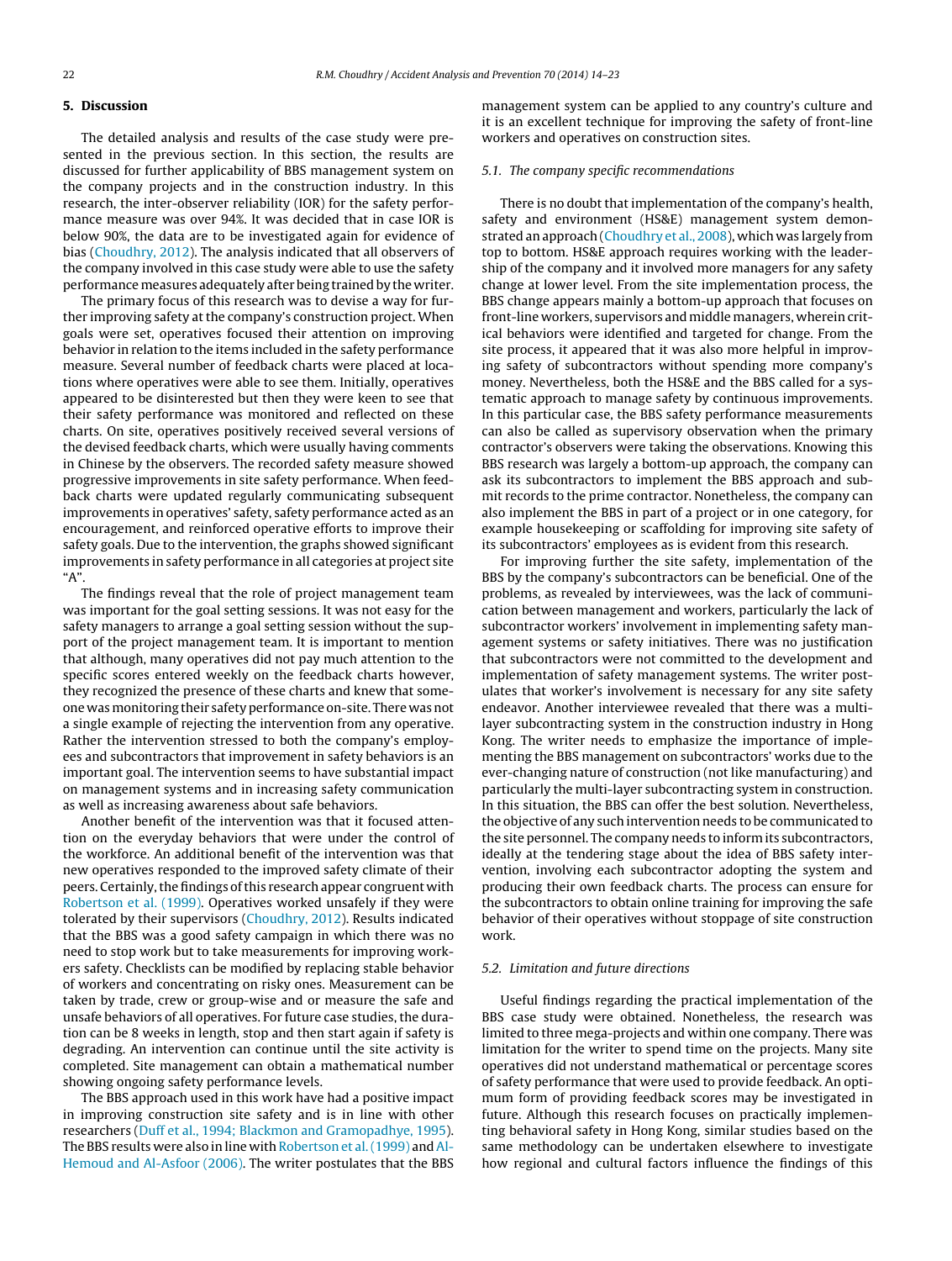#### **5. Discussion**

The detailed analysis and results of the case study were presented in the previous section. In this section, the results are discussed for further applicability of BBS management system on the company projects and in the construction industry. In this research, the inter-observer reliability (IOR) for the safety performance measure was over 94%. It was decided that in case IOR is below 90%, the data are to be investigated again for evidence of bias ([Choudhry,](#page-9-0) [2012\).](#page-9-0) The analysis indicated that all observers of the company involved in this case study were able to use the safety performance measures adequately after being trained by the writer.

The primary focus of this research was to devise a way for further improving safety at the company's construction project. When goals were set, operatives focused their attention on improving behavior in relation to the items included in the safety performance measure. Several number of feedback charts were placed at locations where operatives were able to see them. Initially, operatives appeared to be disinterested but then they were keen to see that their safety performance was monitored and reflected on these charts. On site, operatives positively received several versions of the devised feedback charts, which were usually having comments in Chinese by the observers. The recorded safety measure showed progressive improvements in site safety performance. When feedback charts were updated regularly communicating subsequent improvements in operatives' safety, safety performance acted as an encouragement, and reinforced operative efforts to improve their safety goals. Due to the intervention, the graphs showed significant improvements in safety performance in all categories at project site "A".

The findings reveal that the role of project management team was important for the goal setting sessions. It was not easy for the safety managers to arrange a goal setting session without the support of the project management team. It is important to mention that although, many operatives did not pay much attention to the specific scores entered weekly on the feedback charts however, they recognized the presence of these charts and knew that someone wasmonitoring their safetyperformance on-site. There wasnot a single example of rejecting the intervention from any operative. Rather the intervention stressed to both the company's employees and subcontractors that improvement in safety behaviors is an important goal. The intervention seems to have substantial impact on management systems and in increasing safety communication as well as increasing awareness about safe behaviors.

Another benefit of the intervention was that it focused attention on the everyday behaviors that were under the control of the workforce. An additional benefit of the intervention was that new operatives responded to the improved safety climate of their peers. Certainly, the findings of this research appear congruent with [Robertson](#page-9-0) et [al.](#page-9-0) [\(1999\).](#page-9-0) Operatives worked unsafely if they were tolerated by their supervisors [\(Choudhry,](#page-9-0) [2012\).](#page-9-0) Results indicated that the BBS was a good safety campaign in which there was no need to stop work but to take measurements for improving workers safety. Checklists can be modified by replacing stable behavior of workers and concentrating on risky ones. Measurement can be taken by trade, crew or group-wise and or measure the safe and unsafe behaviors of all operatives. For future case studies, the duration can be 8 weeks in length, stop and then start again if safety is degrading. An intervention can continue until the site activity is completed. Site management can obtain a mathematical number showing ongoing safety performance levels.

The BBS approach used in this work have had a positive impact in improving construction site safety and is in line with other researchers ([Duff](#page-9-0) et [al.,](#page-9-0) [1994;](#page-9-0) [Blackmon](#page-9-0) [and](#page-9-0) [Gramopadhye,](#page-9-0) [1995\).](#page-9-0) The BBS results were also in line with [Robertson](#page-9-0) et al. (1999) and Al-Hemoud [and](#page-9-0) [Al-Asfoor](#page-9-0) [\(2006\).](#page-9-0) The writer postulates that the BBS

management system can be applied to any country's culture and it is an excellent technique for improving the safety of front-line workers and operatives on construction sites.

#### 5.1. The company specific recommendations

There is no doubt that implementation of the company's health, safety and environment (HS&E) management system demonstrated an approach [\(Choudhry](#page-9-0) et [al.,](#page-9-0) [2008\),](#page-9-0) which was largely from top to bottom. HS&E approach requires working with the leadership of the company and it involved more managers for any safety change at lower level. From the site implementation process, the BBS change appears mainly a bottom-up approach that focuses on front-line workers, supervisors and middle managers, wherein critical behaviors were identified and targeted for change. From the site process, it appeared that it was also more helpful in improving safety of subcontractors without spending more company's money. Nevertheless, both the HS&E and the BBS called for a systematic approach to manage safety by continuous improvements. In this particular case, the BBS safety performance measurements can also be called as supervisory observation when the primary contractor's observers were taking the observations. Knowing this BBS research was largely a bottom-up approach, the company can ask its subcontractors to implement the BBS approach and submit records to the prime contractor. Nonetheless, the company can also implement the BBS in part of a project or in one category, for example housekeeping or scaffolding for improving site safety of its subcontractors' employees as is evident from this research.

For improving further the site safety, implementation of the BBS by the company's subcontractors can be beneficial. One of the problems, as revealed by interviewees, was the lack of communication between management and workers, particularly the lack of subcontractor workers' involvement in implementing safety management systems or safety initiatives. There was no justification that subcontractors were not committed to the development and implementation of safety management systems. The writer postulates that worker's involvement is necessary for any site safety endeavor. Another interviewee revealed that there was a multilayer subcontracting system in the construction industry in Hong Kong. The writer needs to emphasize the importance of implementing the BBS management on subcontractors' works due to the ever-changing nature of construction (not like manufacturing) and particularly the multi-layer subcontracting system in construction. In this situation, the BBS can offer the best solution. Nevertheless, the objective of any such intervention needs to be communicated to the site personnel. The company needs to inform its subcontractors, ideally at the tendering stage about the idea of BBS safety intervention, involving each subcontractor adopting the system and producing their own feedback charts. The process can ensure for the subcontractors to obtain online training for improving the safe behavior of their operatives without stoppage of site construction work.

### 5.2. Limitation and future directions

Useful findings regarding the practical implementation of the BBS case study were obtained. Nonetheless, the research was limited to three mega-projects and within one company. There was limitation for the writer to spend time on the projects. Many site operatives did not understand mathematical or percentage scores of safety performance that were used to provide feedback. An optimum form of providing feedback scores may be investigated in future. Although this research focuses on practically implementing behavioral safety in Hong Kong, similar studies based on the [same](#page-9-0) methodology can be undertaken elsewhere to investigate how regional and cultural factors influence the findings of this